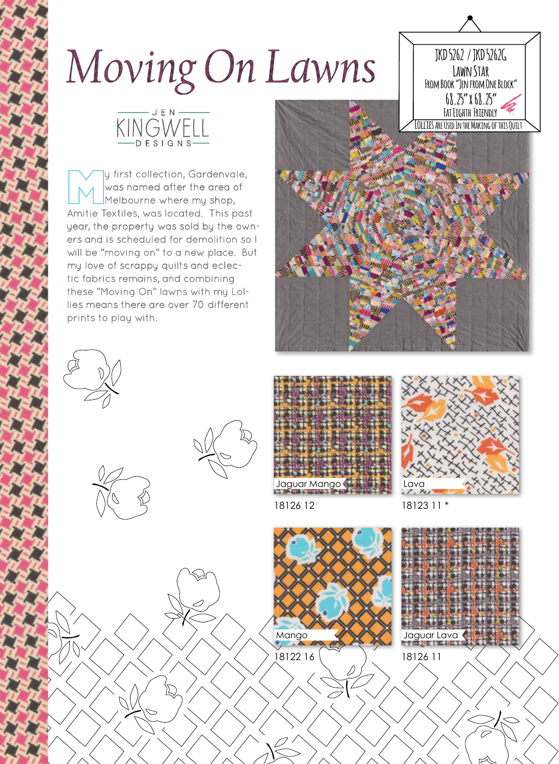## Moving On Lawns



## JEN. KINGWEL

y first collection, Gardenvale, was named after the area of Melbourne where my shop, Amitie Textiles, was located. This past year, the property was sold by the owners and is scheduled for demolition so I will be "moving on" to a new place. But my love of scrappy quilts and eclectic fabrics remains, and combining these "Moving On" lawns with my Lollies means there are over 70 different prints to play with.











18126 12

18122 16

Mango



18123 11 \*

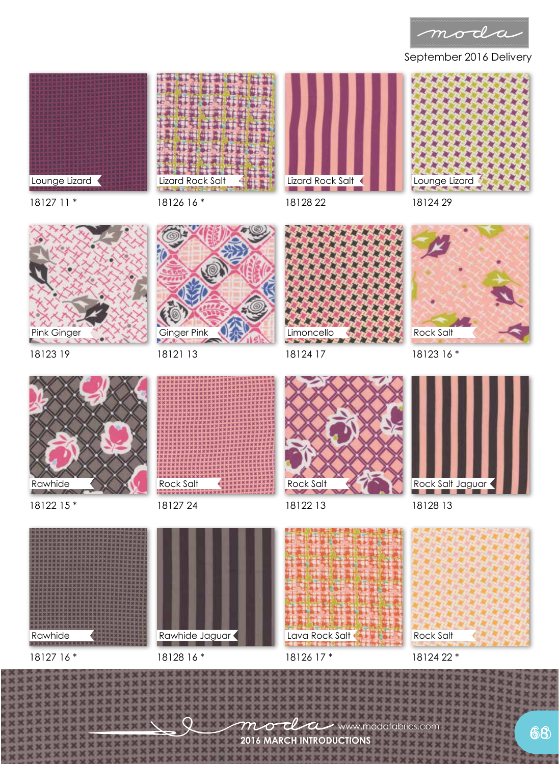

September 2016 Delivery



18126 16 \* Lizard Rock Salt



18128 22



18127 11 \*



18123 19



18121 13



18124 17



18123 16 \*



18122 15 \*



18127 24



18122 13

18128 13

Rock Salt Jaguar





Rawhide



Rawhide Jaguar

18126 17 \*

Lava Rock Salt

18124 22 \*

mod  $\boldsymbol{\mathcal{a}}$ www.modafabrics.com **2016 MARCH INTRODUCTIONS**